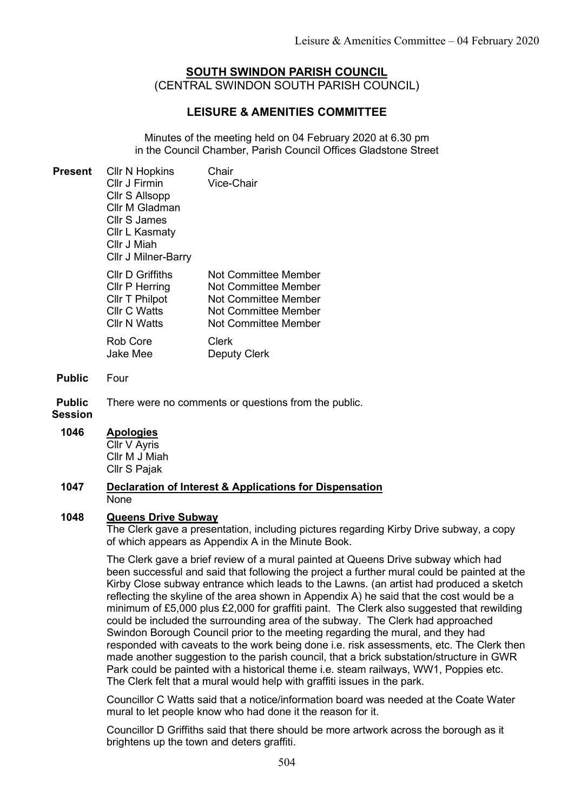# SOUTH SWINDON PARISH COUNCIL (CENTRAL SWINDON SOUTH PARISH COUNCIL)

# LEISURE & AMENITIES COMMITTEE

Minutes of the meeting held on 04 February 2020 at 6.30 pm in the Council Chamber, Parish Council Offices Gladstone Street

| Present | <b>CIIr N Hopkins</b><br>Cllr J Firmin<br>Cllr S Allsopp<br>Cllr M Gladman<br>Cllr S James<br>Cllr L Kasmaty<br>Cllr J Miah<br><b>Cllr J Milner-Barry</b> | Chair<br>Vice-Chair                                                                                                           |
|---------|-----------------------------------------------------------------------------------------------------------------------------------------------------------|-------------------------------------------------------------------------------------------------------------------------------|
|         | <b>CIIr D Griffiths</b><br>Cllr P Herring<br>Cllr T Philpot<br><b>Cllr C Watts</b><br><b>CIIr N Watts</b><br>Rob Core                                     | Not Committee Member<br>Not Committee Member<br>Not Committee Member<br>Not Committee Member<br>Not Committee Member<br>Clerk |
|         | <b>Jake Mee</b>                                                                                                                                           | Deputy Clerk                                                                                                                  |

Public Four

Public There were no comments or questions from the public.

# **Session**

# 1046 Apologies

Cllr V Ayris Cllr M J Miah Cllr S Pajak

#### 1047 Declaration of Interest & Applications for Dispensation None

# 1048 Queens Drive Subway

The Clerk gave a presentation, including pictures regarding Kirby Drive subway, a copy of which appears as Appendix A in the Minute Book.

The Clerk gave a brief review of a mural painted at Queens Drive subway which had been successful and said that following the project a further mural could be painted at the Kirby Close subway entrance which leads to the Lawns. (an artist had produced a sketch reflecting the skyline of the area shown in Appendix A) he said that the cost would be a minimum of £5,000 plus £2,000 for graffiti paint. The Clerk also suggested that rewilding could be included the surrounding area of the subway. The Clerk had approached Swindon Borough Council prior to the meeting regarding the mural, and they had responded with caveats to the work being done i.e. risk assessments, etc. The Clerk then made another suggestion to the parish council, that a brick substation/structure in GWR Park could be painted with a historical theme i.e. steam railways, WW1, Poppies etc. The Clerk felt that a mural would help with graffiti issues in the park.

Councillor C Watts said that a notice/information board was needed at the Coate Water mural to let people know who had done it the reason for it.

Councillor D Griffiths said that there should be more artwork across the borough as it brightens up the town and deters graffiti.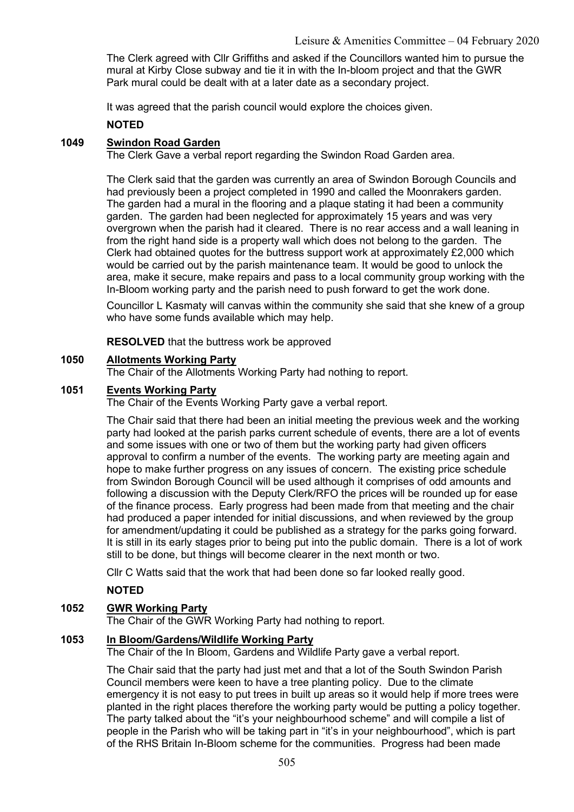The Clerk agreed with Cllr Griffiths and asked if the Councillors wanted him to pursue the mural at Kirby Close subway and tie it in with the In-bloom project and that the GWR Park mural could be dealt with at a later date as a secondary project.

It was agreed that the parish council would explore the choices given.

# **NOTED**

# 1049 Swindon Road Garden

The Clerk Gave a verbal report regarding the Swindon Road Garden area.

The Clerk said that the garden was currently an area of Swindon Borough Councils and had previously been a project completed in 1990 and called the Moonrakers garden. The garden had a mural in the flooring and a plaque stating it had been a community garden. The garden had been neglected for approximately 15 years and was very overgrown when the parish had it cleared. There is no rear access and a wall leaning in from the right hand side is a property wall which does not belong to the garden. The Clerk had obtained quotes for the buttress support work at approximately £2,000 which would be carried out by the parish maintenance team. It would be good to unlock the area, make it secure, make repairs and pass to a local community group working with the In-Bloom working party and the parish need to push forward to get the work done.

Councillor L Kasmaty will canvas within the community she said that she knew of a group who have some funds available which may help.

RESOLVED that the buttress work be approved

#### 1050 Allotments Working Party

The Chair of the Allotments Working Party had nothing to report.

# 1051 Events Working Party

The Chair of the Events Working Party gave a verbal report.

The Chair said that there had been an initial meeting the previous week and the working party had looked at the parish parks current schedule of events, there are a lot of events and some issues with one or two of them but the working party had given officers approval to confirm a number of the events. The working party are meeting again and hope to make further progress on any issues of concern. The existing price schedule from Swindon Borough Council will be used although it comprises of odd amounts and following a discussion with the Deputy Clerk/RFO the prices will be rounded up for ease of the finance process. Early progress had been made from that meeting and the chair had produced a paper intended for initial discussions, and when reviewed by the group for amendment/updating it could be published as a strategy for the parks going forward. It is still in its early stages prior to being put into the public domain. There is a lot of work still to be done, but things will become clearer in the next month or two.

Cllr C Watts said that the work that had been done so far looked really good.

# NOTED

# 1052 GWR Working Party

The Chair of the GWR Working Party had nothing to report.

# 1053 In Bloom/Gardens/Wildlife Working Party

The Chair of the In Bloom, Gardens and Wildlife Party gave a verbal report.

The Chair said that the party had just met and that a lot of the South Swindon Parish Council members were keen to have a tree planting policy. Due to the climate emergency it is not easy to put trees in built up areas so it would help if more trees were planted in the right places therefore the working party would be putting a policy together. The party talked about the "it's your neighbourhood scheme" and will compile a list of people in the Parish who will be taking part in "it's in your neighbourhood", which is part of the RHS Britain In-Bloom scheme for the communities. Progress had been made